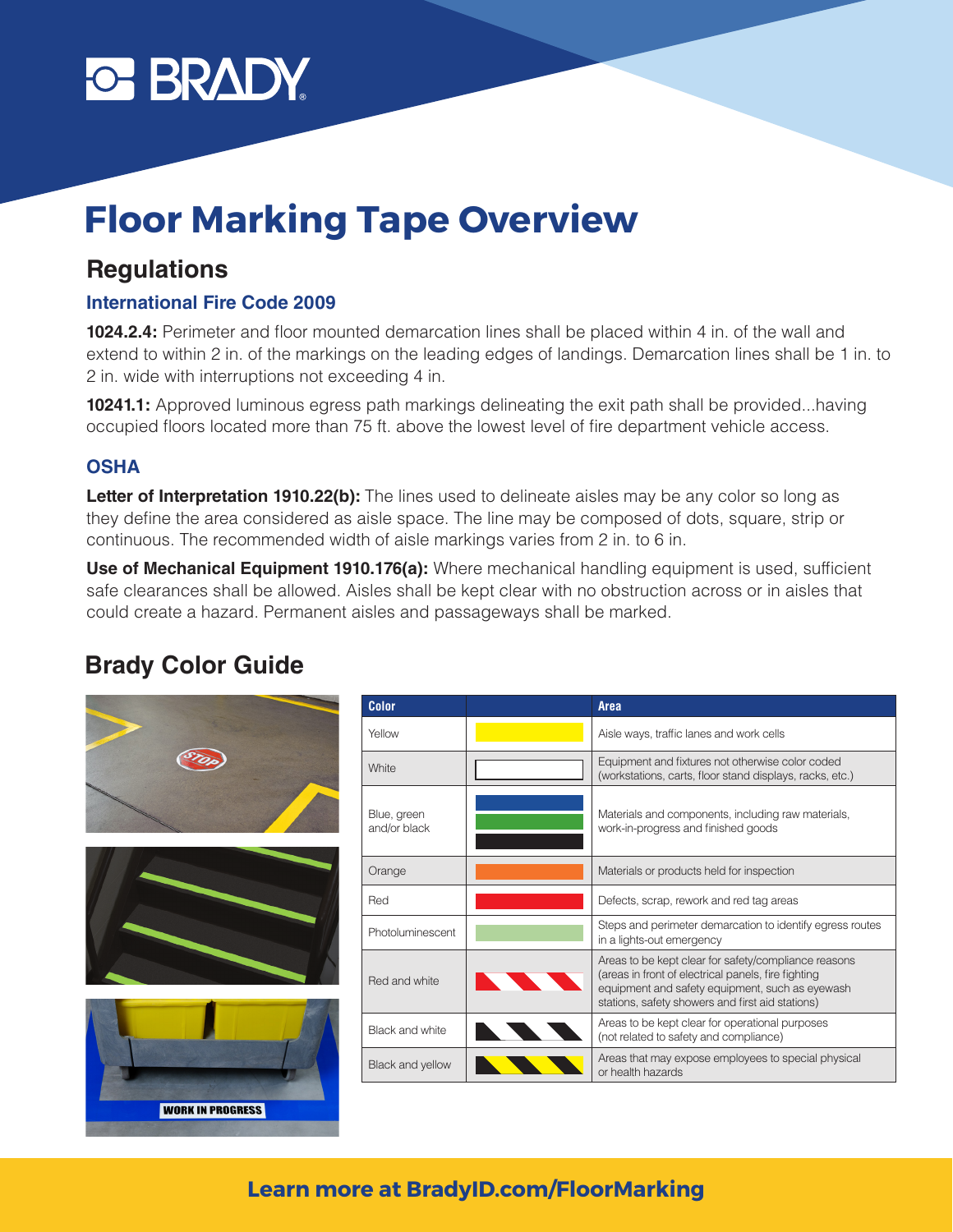

# **Floor Marking Tape Overview**

### **Regulations**

### **International Fire Code 2009**

**1024.2.4:** Perimeter and floor mounted demarcation lines shall be placed within 4 in. of the wall and extend to within 2 in. of the markings on the leading edges of landings. Demarcation lines shall be 1 in. to 2 in. wide with interruptions not exceeding 4 in.

**10241.1:** Approved luminous egress path markings delineating the exit path shall be provided...having occupied floors located more than 75 ft. above the lowest level of fire department vehicle access.

#### **OSHA**

**Letter of Interpretation 1910.22(b):** The lines used to delineate aisles may be any color so long as they define the area considered as aisle space. The line may be composed of dots, square, strip or continuous. The recommended width of aisle markings varies from 2 in. to 6 in.

**Use of Mechanical Equipment 1910.176(a):** Where mechanical handling equipment is used, sufficient safe clearances shall be allowed. Aisles shall be kept clear with no obstruction across or in aisles that could create a hazard. Permanent aisles and passageways shall be marked.

### **Brady Color Guide**

|                         | <b>Color</b>                | <b>Area</b>                                                                                                                                                                                                        |
|-------------------------|-----------------------------|--------------------------------------------------------------------------------------------------------------------------------------------------------------------------------------------------------------------|
|                         | Yellow                      | Aisle ways, traffic lanes and work cells                                                                                                                                                                           |
|                         | White                       | Equipment and fixtures not otherwise color coded<br>(workstations, carts, floor stand displays, racks, etc.)                                                                                                       |
|                         | Blue, green<br>and/or black | Materials and components, including raw materials,<br>work-in-progress and finished goods                                                                                                                          |
|                         | Orange                      | Materials or products held for inspection                                                                                                                                                                          |
|                         | Red                         | Defects, scrap, rework and red tag areas                                                                                                                                                                           |
|                         | Photoluminescent            | Steps and perimeter demarcation to identify egress routes<br>in a lights-out emergency                                                                                                                             |
|                         | Red and white               | Areas to be kept clear for safety/compliance reasons<br>(areas in front of electrical panels, fire fighting<br>equipment and safety equipment, such as eyewash<br>stations, safety showers and first aid stations) |
|                         | Black and white             | Areas to be kept clear for operational purposes<br>(not related to safety and compliance)                                                                                                                          |
|                         | Black and yellow            | Areas that may expose employees to special physical<br>or health hazards                                                                                                                                           |
| <b>WORK IN PROGRESS</b> |                             |                                                                                                                                                                                                                    |

### **Learn more at BradyID.com/FloorMarking**